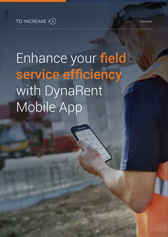### TO INCREASE  $(f)$

Enhance your field service efficiency with DynaRent Mobile App

**DYNAREN**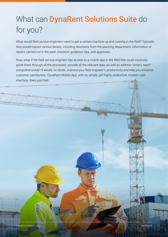# What can **DynaRent Solutions Suite** do for you?

What would field service engineers need to get a certain machine up and running in the field? Typically, they would require various details, including directions from the planning department, information of repairs carried out in the past, checklist, guidance, tips, and approvals.

Now, what if the field service engineer has access to a mobile app in the field that could intuitively guide them through all the processes, provide all the relevant data, as well as address "what's next?" comprehensively? It would, no doubt, improve your field engineer's productivity and help you enhance customer satisfaction. DynaRent Mobile App, with its simple, yet highly productive, modern user interface, does just that!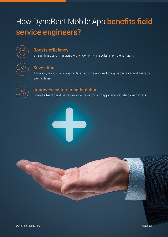## How DynaRent Mobile App benefits field service engineers?



#### Boosts efficiency

Streamlines and manages workflow, which results in efficiency gain.



#### Saves time

Allows syncing of company data with the app, reducing paperwork and thereby saving time.



#### Improves customer satisfaction

Enables faster and better service, resulting in happy and satisfied customers.



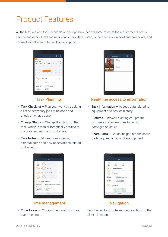### Product Features

All the features and tools available on the app have been tailored to meet the requirements of field service engineers. Field engineers can check data history, schedule tasks, record customer data, and connect with the team for additional support.

|                      |              | My schedule     |                                                      | 11                                     | O                                         |
|----------------------|--------------|-----------------|------------------------------------------------------|----------------------------------------|-------------------------------------------|
| Search tasks         |              |                 |                                                      |                                        |                                           |
| January 2021         |              |                 |                                                      |                                        |                                           |
|                      |              | Wed             | Thu                                                  | Fri.                                   | Sat                                       |
| 28                   | 29           | 30 <sub>1</sub> | 31                                                   | $\mathbf{1}$                           | $\overline{2}$                            |
| $\mathbf{A}$         | S.           | 6               | $\overline{z}$                                       | 8 <sup>1</sup>                         | ö                                         |
| 11 <sup>1</sup>      | 12           | 13              | $14 -$                                               | 15                                     | 16                                        |
| 18                   | 19           | 20              | 21                                                   | $22^{\circ}$                           | 23                                        |
| 25                   | 26           | 27              | 28                                                   | 29                                     | 30 <sub>0</sub>                           |
| 11.7                 | $\mathbf{z}$ | 3               | 4.                                                   | S.                                     | 6.                                        |
|                      |              |                 |                                                      |                                        |                                           |
| <b>Planned from:</b> |              |                 |                                                      |                                        |                                           |
| Planned to:          |              |                 |                                                      |                                        |                                           |
| Status:              |              |                 |                                                      |                                        |                                           |
|                      | Customer:    | Mon             | Tue<br><b>GEN MNT</b><br>Released<br><b>INTERNAL</b> | 1/19/2021 2:00 AM<br>1/19/2021 6:00 AM | Work order name: General Maintenance Plan |

#### Task Planning

- Task Checklist  $-$  Plan your work by tracking a list of necessary jobs to be done and check off what's done.
- Change Status Change the status of the task, which is then automatically notified to the planning team and customers.
- Task Notes Add and view internal. external notes and new observations related to the task.

| Title:<br><b>Rear Damage</b><br>Title:<br><b>Action picture</b> |
|-----------------------------------------------------------------|
|                                                                 |
| <b>STORY</b>                                                    |

#### Real-time access to information

- Task Information Access data related to equipment and service history.
- Pictures Browse existing equipment pictures or take new ones to record damages or issues.
- Spare Parts  $-$  Get an insight into the spare parts required to repair the equipment.

| k.                                                                     | Task                                          |      |
|------------------------------------------------------------------------|-----------------------------------------------|------|
| Change<br>Status                                                       | <b>Start traveling</b>                        | More |
|                                                                        | Start job                                     |      |
|                                                                        | <b>Start break</b>                            |      |
|                                                                        | <b>Start extra time</b>                       |      |
|                                                                        | <b>Object Information</b>                     |      |
| Object name:                                                           | Hyster 4-Wheel Electric Forklift Truck        |      |
| Object category:<br>Serial number:<br>Fleet number:<br>Warranty until: | Rental<br>20190624_003<br>FL_003<br>5/15/2024 |      |
|                                                                        | Home                                          |      |

#### Time management

• Time Ticker – Clock in the travel, work, and overtime hours.



#### **Navigation**

Find the quickest route and get directions to the client's location.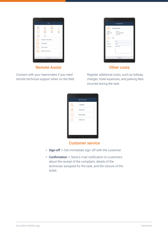| Task<br>k                                          |                                                         |                                                             |                                        |  |
|----------------------------------------------------|---------------------------------------------------------|-------------------------------------------------------------|----------------------------------------|--|
| Change<br><b>Status</b><br><b>Pictures</b><br>Time | Time<br>ticker<br>Ξ<br>Task<br><b>Notes</b><br>Sign-off | Task<br><b>Checklist</b><br><b>REGIST</b><br>Spare<br>parts | ٠.<br>٠<br>٠<br>Less<br>Other<br>Costs |  |
| overview                                           | <b>Customer information</b>                             |                                                             |                                        |  |
|                                                    | <b>Task Details</b><br><b>Task Location</b>             |                                                             |                                        |  |
|                                                    | <b>Object Information</b>                               |                                                             |                                        |  |
| Home                                               |                                                         |                                                             |                                        |  |
|                                                    |                                                         |                                                             |                                        |  |

Remote Assist

Connect with your teammates if you need remote technical support when on the field.

| $\overline{\left\langle \right\rangle }$ | Fee registration        |  |
|------------------------------------------|-------------------------|--|
|                                          | <b>Task information</b> |  |
| Project:                                 | 001061                  |  |
| Work order:                              | DEMF-000000339          |  |
| Task:                                    | <b>GEN MNT</b>          |  |
| Price:<br>Currency:                      | 150<br><b>EUR</b>       |  |
| <b>Description:</b>                      | <b>Hotel</b> costs      |  |
|                                          |                         |  |
|                                          | Confirm                 |  |

#### Other costs

Register additional costs, such as tollway charges, hotel expenses, and parking fees incurred during the task.

| $\langle$    | Sign-off summary     |  |
|--------------|----------------------|--|
| $\mathbb{B}$ | <b>Checklists</b>    |  |
|              | <b>Spare parts</b>   |  |
|              | <b>Time overview</b> |  |
|              | Other costs          |  |
|              |                      |  |
|              |                      |  |
|              |                      |  |
|              |                      |  |

#### Customer service

- Sign-off Get immediate sign-off with the customer.
- Confirmation Send e-mail notification to customers about the receipt of the complaint, details of the technician assigned for the task, and the closure of the ticket.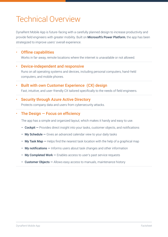### Technical Overview

DynaRent Mobile App is future-facing with a carefully planned design to increase productivity and provide field engineers with greater mobility. Built on **Microsoft's Power Platform**, the app has been strategized to improve users' overall experience.

#### • Offline capabilities

Works in far-away, remote locations where the internet is unavailable or not allowed.

#### • Device-independent and responsive

Runs on all operating systems and devices, including personal computers, hand-held computers, and mobile phones.

• Built with own Customer Experience (CX) design Fast, intuitive, and user-friendly CX tailored specifically to the needs of field engineers.

#### • Security through Azure Active Directory

Protects company data and users from cybersecurity attacks.

#### The Design  $-$  Focus on efficiency

The app has a simple and organized layout, which makes it handy and easy to use.

- Cockpit Provides direct insight into your tasks, customer objects, and notifications
- My Schedule Gives an advanced calendar view to your daily tasks
- My Task Map  $-$  Helps find the nearest task location with the help of a graphical map
- My notifications Informs users about task changes and other information
- My Completed Work Enables access to user's past service requests
- Customer Objects Allows easy access to manuals, maintenance history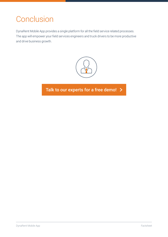## **Conclusion**

DynaRent Mobile App provides a single platform for all the field service related processes. The app will empower your field services engineers and truck drivers to be more productive and drive business growth.



[Talk to our experts for a free demo!](https://www.to-increase.com/demo-dynarent) >